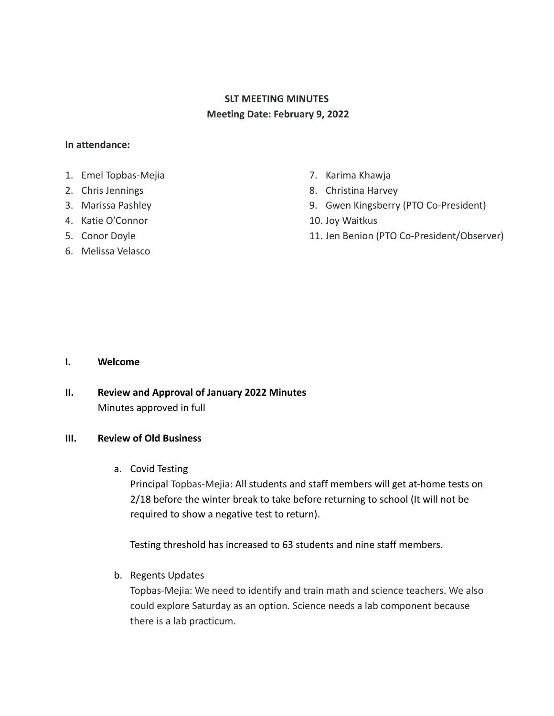# **SLT MEETING MINUTES Meeting Date: February 9, 2022**

## **In attendance:**

- 1. Emel Topbas-Mejia
- 2. Chris Jennings
- 3. Marissa Pashley
- 4. Katie O'Connor
- 5. Conor Doyle
- 6. Melissa Velasco
- 7. Karima Khawja
- 8. Christina Harvey
- 9. Gwen Kingsberry (PTO Co-President)
- 10. Joy Waitkus
- 11. Jen Benion (PTO Co-President/Observer)

#### **I. Welcome**

**II. Review and Approval of January 2022 Minutes** Minutes approved in full

# **III. Review of Old Business**

a. Covid Testing

Principal Topbas-Mejia: All students and staff members will get at-home tests on 2/18 before the winter break to take before returning to school (It will not be required to show a negative test to return).

Testing threshold has increased to 63 students and nine staff members.

# b. Regents Updates

Topbas-Mejia: We need to identify and train math and science teachers. We also could explore Saturday as an option. Science needs a lab component because there is a lab practicum.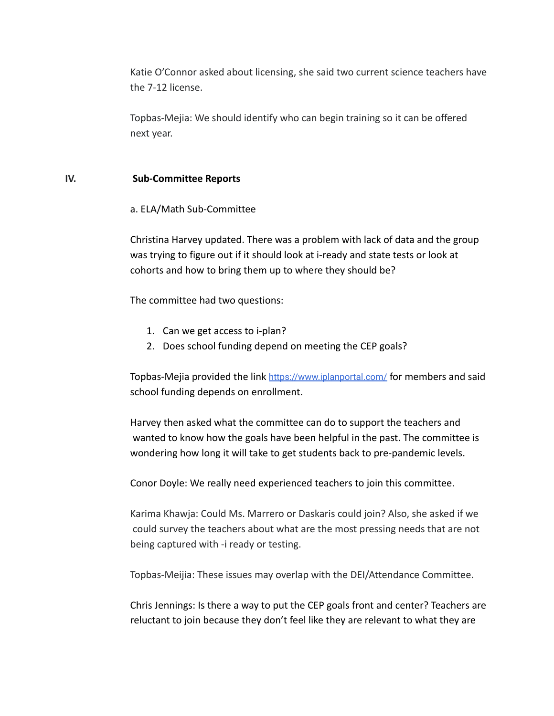Katie O'Connor asked about licensing, she said two current science teachers have the 7-12 license.

Topbas-Mejia: We should identify who can begin training so it can be offered next year.

### **IV. Sub-Committee Reports**

a. ELA/Math Sub-Committee

Christina Harvey updated. There was a problem with lack of data and the group was trying to figure out if it should look at i-ready and state tests or look at cohorts and how to bring them up to where they should be?

The committee had two questions:

- 1. Can we get access to i-plan?
- 2. Does school funding depend on meeting the CEP goals?

Topbas-Mejia provided the link <https://www.iplanportal.com/> for members and said school funding depends on enrollment.

Harvey then asked what the committee can do to support the teachers and wanted to know how the goals have been helpful in the past. The committee is wondering how long it will take to get students back to pre-pandemic levels.

Conor Doyle: We really need experienced teachers to join this committee.

Karima Khawja: Could Ms. Marrero or Daskaris could join? Also, she asked if we could survey the teachers about what are the most pressing needs that are not being captured with -i ready or testing.

Topbas-Meijia: These issues may overlap with the DEI/Attendance Committee.

Chris Jennings: Is there a way to put the CEP goals front and center? Teachers are reluctant to join because they don't feel like they are relevant to what they are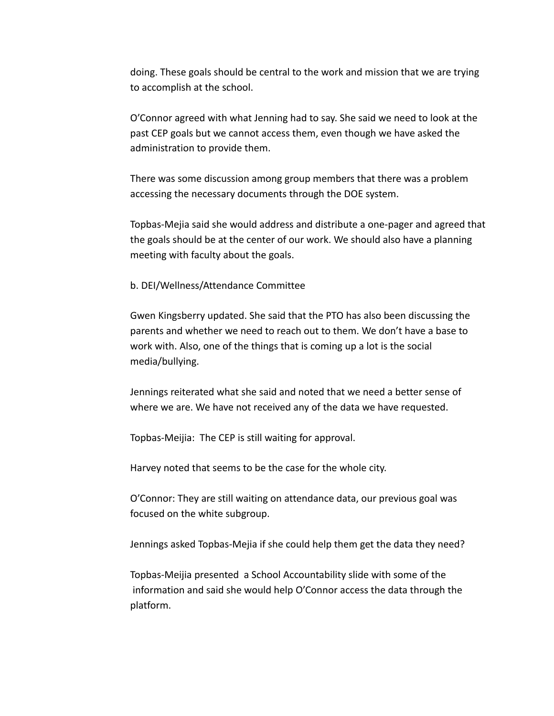doing. These goals should be central to the work and mission that we are trying to accomplish at the school.

O'Connor agreed with what Jenning had to say. She said we need to look at the past CEP goals but we cannot access them, even though we have asked the administration to provide them.

There was some discussion among group members that there was a problem accessing the necessary documents through the DOE system.

Topbas-Mejia said she would address and distribute a one-pager and agreed that the goals should be at the center of our work. We should also have a planning meeting with faculty about the goals.

b. DEI/Wellness/Attendance Committee

Gwen Kingsberry updated. She said that the PTO has also been discussing the parents and whether we need to reach out to them. We don't have a base to work with. Also, one of the things that is coming up a lot is the social media/bullying.

Jennings reiterated what she said and noted that we need a better sense of where we are. We have not received any of the data we have requested.

Topbas-Meijia: The CEP is still waiting for approval.

Harvey noted that seems to be the case for the whole city.

O'Connor: They are still waiting on attendance data, our previous goal was focused on the white subgroup.

Jennings asked Topbas-Mejia if she could help them get the data they need?

Topbas-Meijia presented a School Accountability slide with some of the information and said she would help O'Connor access the data through the platform.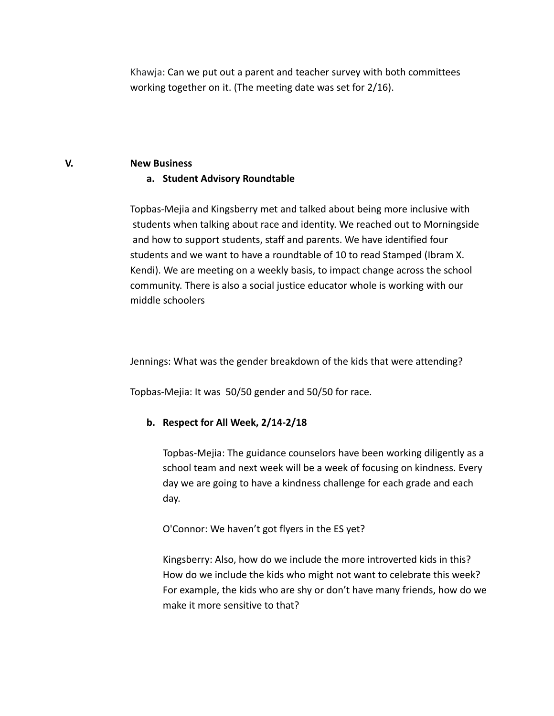Khawja: Can we put out a parent and teacher survey with both committees working together on it. (The meeting date was set for 2/16).

#### **V. New Business**

### **a. Student Advisory Roundtable**

Topbas-Mejia and Kingsberry met and talked about being more inclusive with students when talking about race and identity. We reached out to Morningside and how to support students, staff and parents. We have identified four students and we want to have a roundtable of 10 to read Stamped (Ibram X. Kendi). We are meeting on a weekly basis, to impact change across the school community. There is also a social justice educator whole is working with our middle schoolers

Jennings: What was the gender breakdown of the kids that were attending?

Topbas-Mejia: It was 50/50 gender and 50/50 for race.

## **b. Respect for All Week, 2/14-2/18**

Topbas-Mejia: The guidance counselors have been working diligently as a school team and next week will be a week of focusing on kindness. Every day we are going to have a kindness challenge for each grade and each day.

O'Connor: We haven't got flyers in the ES yet?

Kingsberry: Also, how do we include the more introverted kids in this? How do we include the kids who might not want to celebrate this week? For example, the kids who are shy or don't have many friends, how do we make it more sensitive to that?